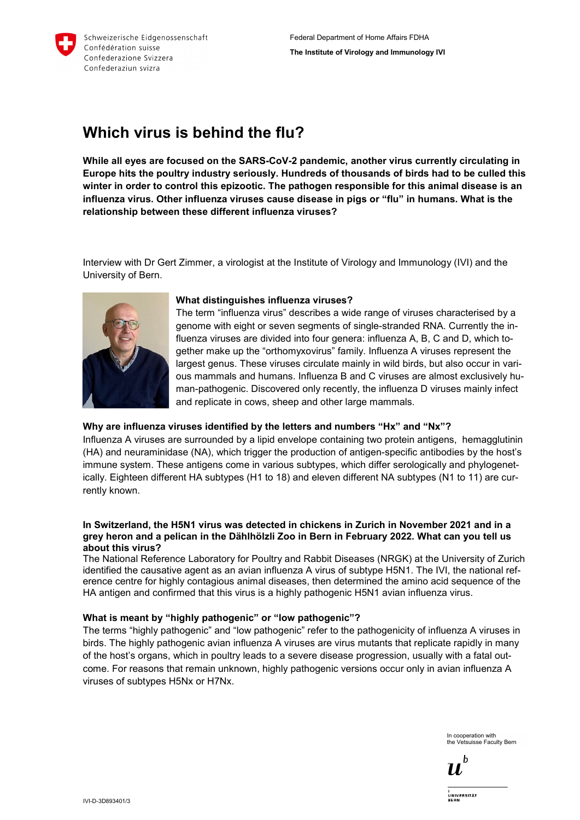

# **Which virus is behind the flu?**

**While all eyes are focused on the SARS-CoV-2 pandemic, another virus currently circulating in Europe hits the poultry industry seriously. Hundreds of thousands of birds had to be culled this winter in order to control this epizootic. The pathogen responsible for this animal disease is an influenza virus. Other influenza viruses cause disease in pigs or "flu" in humans. What is the relationship between these different influenza viruses?** 

Interview with Dr Gert Zimmer, a virologist at the Institute of Virology and Immunology (IVI) and the University of Bern.



### **What distinguishes influenza viruses?**

The term "influenza virus" describes a wide range of viruses characterised by a genome with eight or seven segments of single-stranded RNA. Currently the influenza viruses are divided into four genera: influenza A, B, C and D, which together make up the "orthomyxovirus" family. Influenza A viruses represent the largest genus. These viruses circulate mainly in wild birds, but also occur in various mammals and humans. Influenza B and C viruses are almost exclusively human-pathogenic. Discovered only recently, the influenza D viruses mainly infect and replicate in cows, sheep and other large mammals.

# **Why are influenza viruses identified by the letters and numbers "Hx" and "Nx"?**

Influenza A viruses are surrounded by a lipid envelope containing two protein antigens, hemagglutinin (HA) and neuraminidase (NA), which trigger the production of antigen-specific antibodies by the host's immune system. These antigens come in various subtypes, which differ serologically and phylogenetically. Eighteen different HA subtypes (H1 to 18) and eleven different NA subtypes (N1 to 11) are currently known.

#### **In Switzerland, the H5N1 virus was detected in chickens in Zurich in November 2021 and in a grey heron and a pelican in the Dählhölzli Zoo in Bern in February 2022. What can you tell us about this virus?**

The National Reference Laboratory for Poultry and Rabbit Diseases (NRGK) at the University of Zurich identified the causative agent as an avian influenza A virus of subtype H5N1. The IVI, the national reference centre for highly contagious animal diseases, then determined the amino acid sequence of the HA antigen and confirmed that this virus is a highly pathogenic H5N1 avian influenza virus.

# **What is meant by "highly pathogenic" or "low pathogenic"?**

The terms "highly pathogenic" and "low pathogenic" refer to the pathogenicity of influenza A viruses in birds. The highly pathogenic avian influenza A viruses are virus mutants that replicate rapidly in many of the host's organs, which in poultry leads to a severe disease progression, usually with a fatal outcome. For reasons that remain unknown, highly pathogenic versions occur only in avian influenza A viruses of subtypes H5Nx or H7Nx.

> In cooperation with the Vetsuisse Faculty Bern

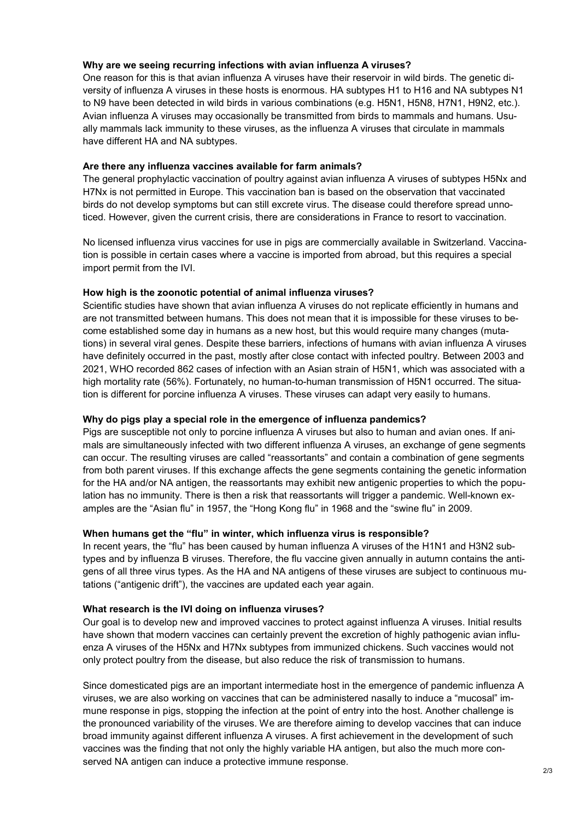### **Why are we seeing recurring infections with avian influenza A viruses?**

One reason for this is that avian influenza A viruses have their reservoir in wild birds. The genetic diversity of influenza A viruses in these hosts is enormous. HA subtypes H1 to H16 and NA subtypes N1 to N9 have been detected in wild birds in various combinations (e.g. H5N1, H5N8, H7N1, H9N2, etc.). Avian influenza A viruses may occasionally be transmitted from birds to mammals and humans. Usually mammals lack immunity to these viruses, as the influenza A viruses that circulate in mammals have different HA and NA subtypes.

## **Are there any influenza vaccines available for farm animals?**

The general prophylactic vaccination of poultry against avian influenza A viruses of subtypes H5Nx and H7Nx is not permitted in Europe. This vaccination ban is based on the observation that vaccinated birds do not develop symptoms but can still excrete virus. The disease could therefore spread unnoticed. However, given the current crisis, there are considerations in France to resort to vaccination.

No licensed influenza virus vaccines for use in pigs are commercially available in Switzerland. Vaccination is possible in certain cases where a vaccine is imported from abroad, but this requires a special import permit from the IVI.

## **How high is the zoonotic potential of animal influenza viruses?**

Scientific studies have shown that avian influenza A viruses do not replicate efficiently in humans and are not transmitted between humans. This does not mean that it is impossible for these viruses to become established some day in humans as a new host, but this would require many changes (mutations) in several viral genes. Despite these barriers, infections of humans with avian influenza A viruses have definitely occurred in the past, mostly after close contact with infected poultry. Between 2003 and 2021, WHO recorded 862 cases of infection with an Asian strain of H5N1, which was associated with a high mortality rate (56%). Fortunately, no human-to-human transmission of H5N1 occurred. The situation is different for porcine influenza A viruses. These viruses can adapt very easily to humans.

# **Why do pigs play a special role in the emergence of influenza pandemics?**

Pigs are susceptible not only to porcine influenza A viruses but also to human and avian ones. If animals are simultaneously infected with two different influenza A viruses, an exchange of gene segments can occur. The resulting viruses are called "reassortants" and contain a combination of gene segments from both parent viruses. If this exchange affects the gene segments containing the genetic information for the HA and/or NA antigen, the reassortants may exhibit new antigenic properties to which the population has no immunity. There is then a risk that reassortants will trigger a pandemic. Well-known examples are the "Asian flu" in 1957, the "Hong Kong flu" in 1968 and the "swine flu" in 2009.

# **When humans get the "flu" in winter, which influenza virus is responsible?**

In recent years, the "flu" has been caused by human influenza A viruses of the H1N1 and H3N2 subtypes and by influenza B viruses. Therefore, the flu vaccine given annually in autumn contains the antigens of all three virus types. As the HA and NA antigens of these viruses are subject to continuous mutations ("antigenic drift"), the vaccines are updated each year again.

# **What research is the IVI doing on influenza viruses?**

Our goal is to develop new and improved vaccines to protect against influenza A viruses. Initial results have shown that modern vaccines can certainly prevent the excretion of highly pathogenic avian influenza A viruses of the H5Nx and H7Nx subtypes from immunized chickens. Such vaccines would not only protect poultry from the disease, but also reduce the risk of transmission to humans.

Since domesticated pigs are an important intermediate host in the emergence of pandemic influenza A viruses, we are also working on vaccines that can be administered nasally to induce a "mucosal" immune response in pigs, stopping the infection at the point of entry into the host. Another challenge is the pronounced variability of the viruses. We are therefore aiming to develop vaccines that can induce broad immunity against different influenza A viruses. A first achievement in the development of such vaccines was the finding that not only the highly variable HA antigen, but also the much more conserved NA antigen can induce a protective immune response.